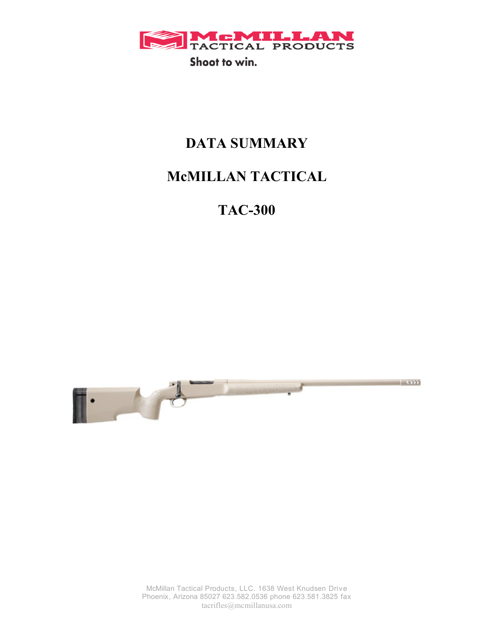

# **DATA SUMMARY**

# **McMILLAN TACTICAL**

**TAC-300**



McMillan Tactical Products, LLC. 1638 West Knudsen Drive Phoenix, Arizona 85027 623.582.0536 phone 623.581.3825 fax tacrifles@mcmillanusa.com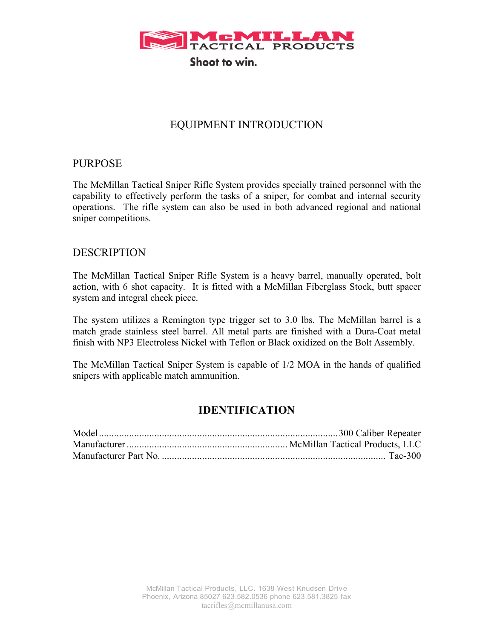

### EQUIPMENT INTRODUCTION

### PURPOSE

The McMillan Tactical Sniper Rifle System provides specially trained personnel with the capability to effectively perform the tasks of a sniper, for combat and internal security operations. The rifle system can also be used in both advanced regional and national sniper competitions.

#### DESCRIPTION

The McMillan Tactical Sniper Rifle System is a heavy barrel, manually operated, bolt action, with 6 shot capacity. It is fitted with a McMillan Fiberglass Stock, butt spacer system and integral cheek piece.

The system utilizes a Remington type trigger set to 3.0 lbs. The McMillan barrel is a match grade stainless steel barrel. All metal parts are finished with a Dura-Coat metal finish with NP3 Electroless Nickel with Teflon or Black oxidized on the Bolt Assembly.

The McMillan Tactical Sniper System is capable of 1/2 MOA in the hands of qualified snipers with applicable match ammunition.

### **IDENTIFICATION**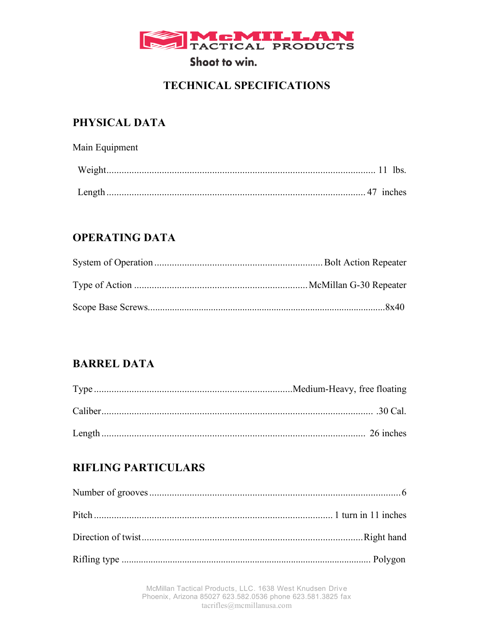

## **TECHNICAL SPECIFICATIONS**

### PHYSICAL DATA

| Main Equipment |  |
|----------------|--|
|                |  |
|                |  |

## **OPERATING DATA**

### **BARREL DATA**

| .30 Cal. |
|----------|
|          |

## **RIFLING PARTICULARS**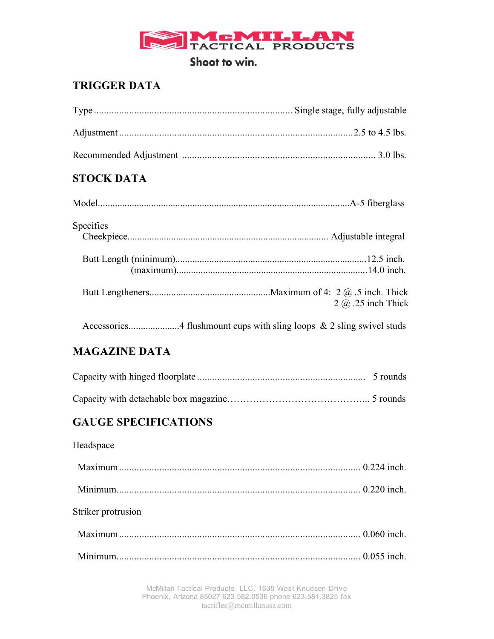

## **TRIGGER DATA**

## **STOCK DATA**

| Specifics |                               |
|-----------|-------------------------------|
|           |                               |
|           |                               |
|           | $2$ $\omega$ $.25$ inch Thick |
|           |                               |

## **MAGAZINE DATA**

## **GAUGE SPECIFICATIONS**

### Headspace

| Striker protrusion |  |
|--------------------|--|
|                    |  |
|                    |  |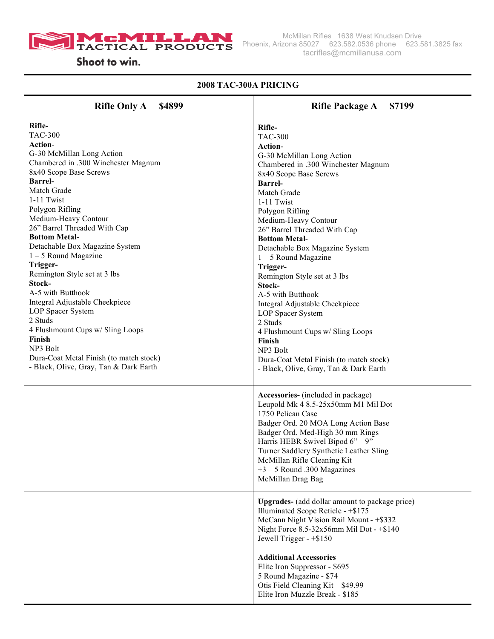

#### **2008 TAC-300A PRICING**

| <b>Rifle Only A</b><br>\$4899                                                                                                                                                                                                                                                                                                                                                                                                                                                                                                                                                                                                               | \$7199<br><b>Rifle Package A</b>                                                                                                                                                                                                                                                                                                                                                                                                                                                                                                                                                                                                            |
|---------------------------------------------------------------------------------------------------------------------------------------------------------------------------------------------------------------------------------------------------------------------------------------------------------------------------------------------------------------------------------------------------------------------------------------------------------------------------------------------------------------------------------------------------------------------------------------------------------------------------------------------|---------------------------------------------------------------------------------------------------------------------------------------------------------------------------------------------------------------------------------------------------------------------------------------------------------------------------------------------------------------------------------------------------------------------------------------------------------------------------------------------------------------------------------------------------------------------------------------------------------------------------------------------|
| Rifle-<br><b>TAC-300</b><br>Action-<br>G-30 McMillan Long Action<br>Chambered in .300 Winchester Magnum<br>8x40 Scope Base Screws<br><b>Barrel-</b><br>Match Grade<br>1-11 Twist<br>Polygon Rifling<br>Medium-Heavy Contour<br>26" Barrel Threaded With Cap<br><b>Bottom Metal-</b><br>Detachable Box Magazine System<br>$1 - 5$ Round Magazine<br>Trigger-<br>Remington Style set at 3 lbs<br>Stock-<br>A-5 with Butthook<br>Integral Adjustable Cheekpiece<br>LOP Spacer System<br>2 Studs<br>4 Flushmount Cups w/ Sling Loops<br>Finish<br>NP3 Bolt<br>Dura-Coat Metal Finish (to match stock)<br>- Black, Olive, Gray, Tan & Dark Earth | Rifle-<br><b>TAC-300</b><br>Action-<br>G-30 McMillan Long Action<br>Chambered in .300 Winchester Magnum<br>8x40 Scope Base Screws<br><b>Barrel-</b><br>Match Grade<br>1-11 Twist<br>Polygon Rifling<br>Medium-Heavy Contour<br>26" Barrel Threaded With Cap<br><b>Bottom Metal-</b><br>Detachable Box Magazine System<br>$1 - 5$ Round Magazine<br>Trigger-<br>Remington Style set at 3 lbs<br>Stock-<br>A-5 with Butthook<br>Integral Adjustable Cheekpiece<br>LOP Spacer System<br>2 Studs<br>4 Flushmount Cups w/ Sling Loops<br>Finish<br>NP3 Bolt<br>Dura-Coat Metal Finish (to match stock)<br>- Black, Olive, Gray, Tan & Dark Earth |
|                                                                                                                                                                                                                                                                                                                                                                                                                                                                                                                                                                                                                                             | Accessories- (included in package)<br>Leupold Mk 4 8.5-25x50mm M1 Mil Dot<br>1750 Pelican Case<br>Badger Ord. 20 MOA Long Action Base<br>Badger Ord. Med-High 30 mm Rings<br>Harris HEBR Swivel Bipod $6" - 9"$<br>Turner Saddlery Synthetic Leather Sling<br>McMillan Rifle Cleaning Kit<br>$+3 - 5$ Round .300 Magazines<br>McMillan Drag Bag<br>Upgrades- (add dollar amount to package price)<br>Illuminated Scope Reticle - +\$175<br>McCann Night Vision Rail Mount - +\$332                                                                                                                                                          |
|                                                                                                                                                                                                                                                                                                                                                                                                                                                                                                                                                                                                                                             | Night Force $8.5 - 32x56$ mm Mil Dot - $+ $140$<br>Jewell Trigger - $+ $150$<br><b>Additional Accessories</b><br>Elite Iron Suppressor - \$695<br>5 Round Magazine - \$74<br>Otis Field Cleaning Kit - \$49.99                                                                                                                                                                                                                                                                                                                                                                                                                              |
|                                                                                                                                                                                                                                                                                                                                                                                                                                                                                                                                                                                                                                             | Elite Iron Muzzle Break - \$185                                                                                                                                                                                                                                                                                                                                                                                                                                                                                                                                                                                                             |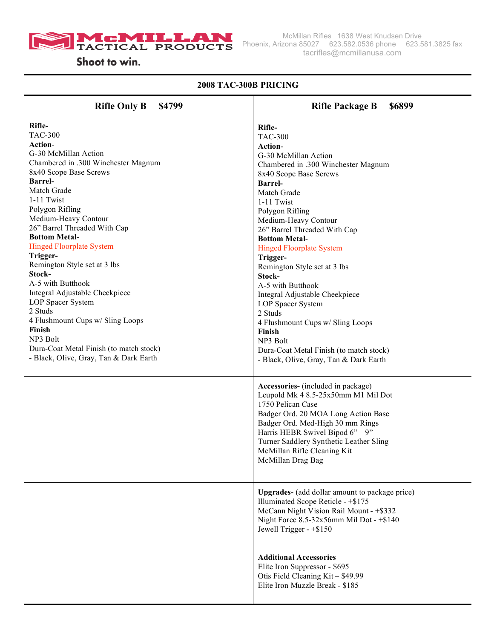

#### **2008 TAC-300B PRICING Rifle Only B \$4799 Rifle-**TAC-300 **Action**-G-30 McMillan Action Chambered in .300 Winchester Magnum 8x40 Scope Base Screws **Barrel-**Match Grade 1-11 Twist Polygon Rifling Medium-Heavy Contour 26" Barrel Threaded With Cap **Bottom Metal**-Hinged Floorplate System **Trigger-**Remington Style set at 3 lbs **Stock-**A-5 with Butthook Integral Adjustable Cheekpiece LOP Spacer System 2 Studs 4 Flushmount Cups w/ Sling Loops **Finish** NP3 Bolt Dura-Coat Metal Finish (to match stock) - Black, Olive, Gray, Tan & Dark Earth **Rifle Package B \$6899 Rifle-**TAC-300 **Action**-G-30 McMillan Action Chambered in .300 Winchester Magnum 8x40 Scope Base Screws **Barrel-**Match Grade 1-11 Twist Polygon Rifling Medium-Heavy Contour 26" Barrel Threaded With Cap **Bottom Metal**-Hinged Floorplate System **Trigger-**Remington Style set at 3 lbs **Stock-**A-5 with Butthook Integral Adjustable Cheekpiece LOP Spacer System 2 Studs 4 Flushmount Cups w/ Sling Loops **Finish** NP3 Bolt Dura-Coat Metal Finish (to match stock) - Black, Olive, Gray, Tan & Dark Earth **Accessories-** (included in package) Leupold Mk 4 8.5-25x50mm M1 Mil Dot 1750 Pelican Case Badger Ord. 20 MOA Long Action Base Badger Ord. Med-High 30 mm Rings Harris HEBR Swivel Bipod  $6" - 9"$ Turner Saddlery Synthetic Leather Sling McMillan Rifle Cleaning Kit McMillan Drag Bag **Upgrades-** (add dollar amount to package price) Illuminated Scope Reticle - +\$175 McCann Night Vision Rail Mount - +\$332 Night Force 8.5-32x56mm Mil Dot - +\$140 Jewell Trigger - +\$150 **Additional Accessories**  Elite Iron Suppressor - \$695 Otis Field Cleaning Kit – \$49.99 Elite Iron Muzzle Break - \$185